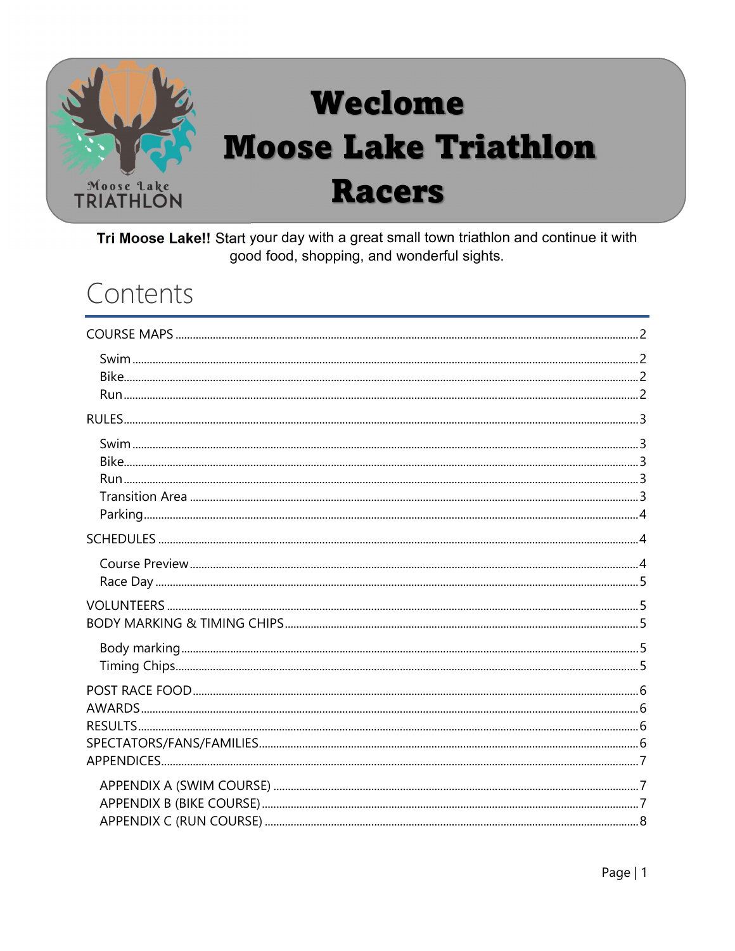

# Weclome **Moose Lake Triathlon Racers**

Tri Moose Lake!! Start your day with a great small town triathlon and continue it with good food, shopping, and wonderful sights.

### Contents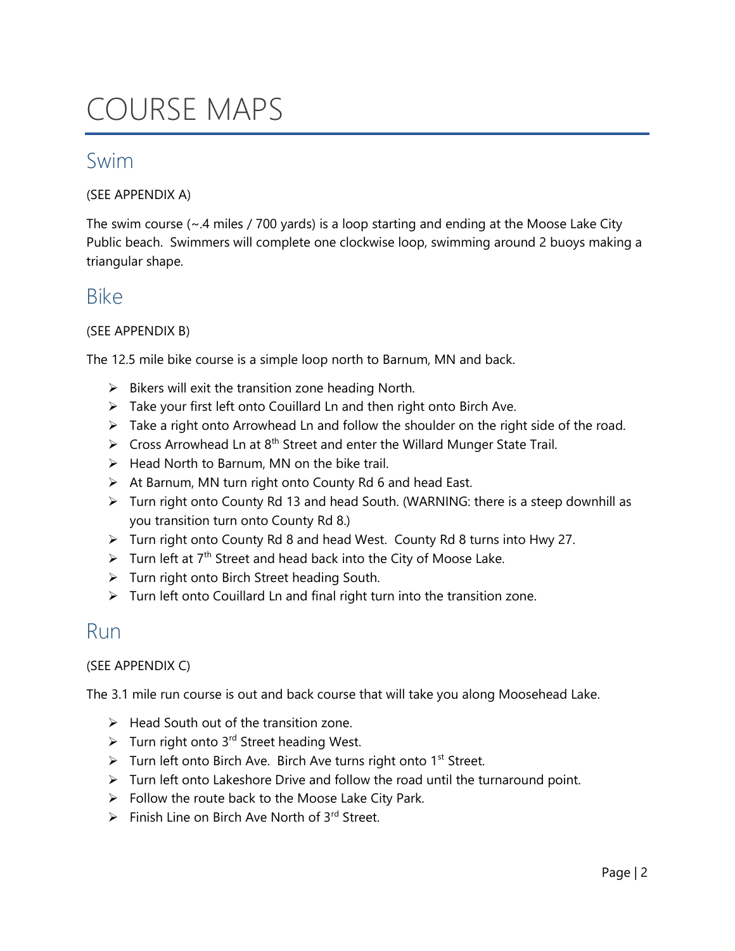## COURSE MAPS

### Swim

(SEE APPENDIX A)

The swim course (~.4 miles / 700 yards) is a loop starting and ending at the Moose Lake City Public beach. Swimmers will complete one clockwise loop, swimming around 2 buoys making a triangular shape.

#### Bike

#### (SEE APPENDIX B)

The 12.5 mile bike course is a simple loop north to Barnum, MN and back.

- $\triangleright$  Bikers will exit the transition zone heading North.
- $\triangleright$  Take your first left onto Couillard Ln and then right onto Birch Ave.
- $\triangleright$  Take a right onto Arrowhead Ln and follow the shoulder on the right side of the road.
- $\triangleright$  Cross Arrowhead Ln at 8<sup>th</sup> Street and enter the Willard Munger State Trail.
- $\triangleright$  Head North to Barnum, MN on the bike trail.
- $\triangleright$  At Barnum, MN turn right onto County Rd 6 and head East.
- Turn right onto County Rd 13 and head South. (WARNING: there is a steep downhill as you transition turn onto County Rd 8.)
- Turn right onto County Rd 8 and head West. County Rd 8 turns into Hwy 27.
- $\triangleright$  Turn left at 7<sup>th</sup> Street and head back into the City of Moose Lake.
- > Turn right onto Birch Street heading South.
- $\triangleright$  Turn left onto Couillard Ln and final right turn into the transition zone.

#### Run

#### (SEE APPENDIX C)

The 3.1 mile run course is out and back course that will take you along Moosehead Lake.

- $\triangleright$  Head South out of the transition zone.
- $\triangleright$  Turn right onto 3<sup>rd</sup> Street heading West.
- $\triangleright$  Turn left onto Birch Ave. Birch Ave turns right onto 1<sup>st</sup> Street.
- $\triangleright$  Turn left onto Lakeshore Drive and follow the road until the turnaround point.
- $\triangleright$  Follow the route back to the Moose Lake City Park.
- $\triangleright$  Finish Line on Birch Ave North of 3<sup>rd</sup> Street.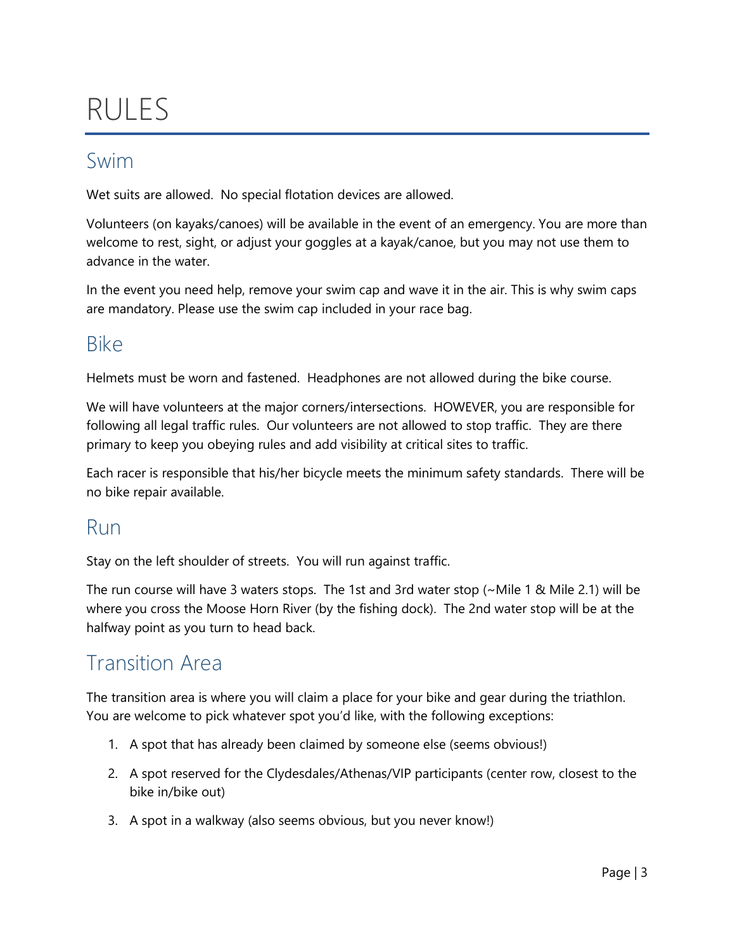# RULES

### Swim

Wet suits are allowed. No special flotation devices are allowed.

Volunteers (on kayaks/canoes) will be available in the event of an emergency. You are more than welcome to rest, sight, or adjust your goggles at a kayak/canoe, but you may not use them to advance in the water.

In the event you need help, remove your swim cap and wave it in the air. This is why swim caps are mandatory. Please use the swim cap included in your race bag.

### Bike

Helmets must be worn and fastened. Headphones are not allowed during the bike course.

We will have volunteers at the major corners/intersections. HOWEVER, you are responsible for following all legal traffic rules. Our volunteers are not allowed to stop traffic. They are there primary to keep you obeying rules and add visibility at critical sites to traffic.

Each racer is responsible that his/her bicycle meets the minimum safety standards. There will be no bike repair available.

### Run

Stay on the left shoulder of streets. You will run against traffic.

The run course will have 3 waters stops. The 1st and 3rd water stop  $(\sim$  Mile 1 & Mile 2.1) will be where you cross the Moose Horn River (by the fishing dock). The 2nd water stop will be at the halfway point as you turn to head back.

### Transition Area

The transition area is where you will claim a place for your bike and gear during the triathlon. You are welcome to pick whatever spot you'd like, with the following exceptions:

- 1. A spot that has already been claimed by someone else (seems obvious!)
- 2. A spot reserved for the Clydesdales/Athenas/VIP participants (center row, closest to the bike in/bike out)
- 3. A spot in a walkway (also seems obvious, but you never know!)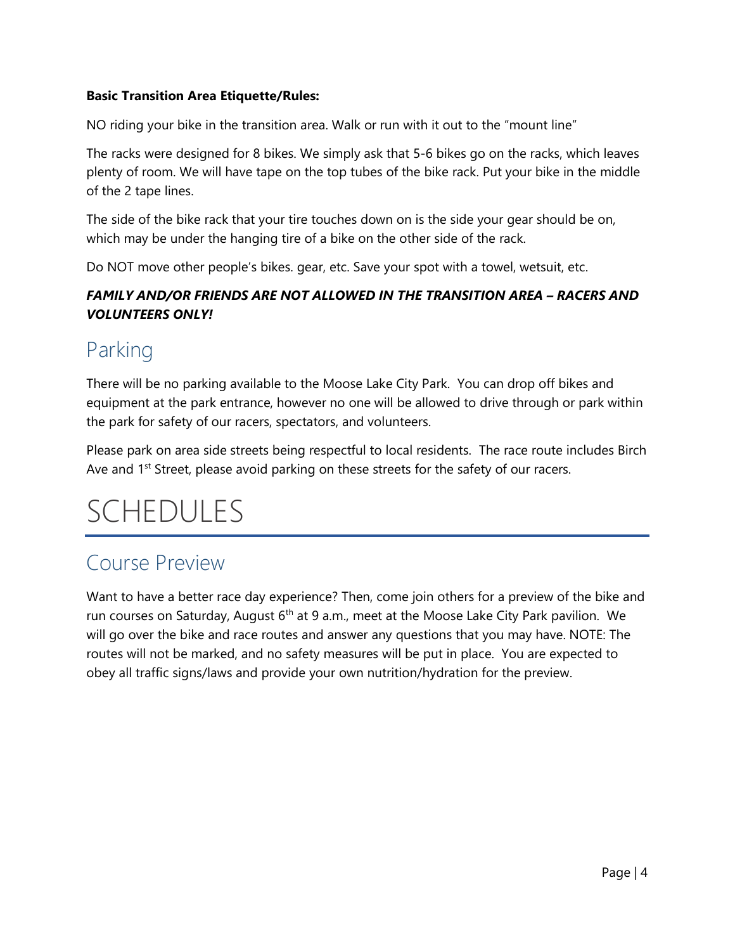#### Basic Transition Area Etiquette/Rules:

NO riding your bike in the transition area. Walk or run with it out to the "mount line"

The racks were designed for 8 bikes. We simply ask that 5-6 bikes go on the racks, which leaves plenty of room. We will have tape on the top tubes of the bike rack. Put your bike in the middle of the 2 tape lines.

The side of the bike rack that your tire touches down on is the side your gear should be on, which may be under the hanging tire of a bike on the other side of the rack.

Do NOT move other people's bikes. gear, etc. Save your spot with a towel, wetsuit, etc.

#### FAMILY AND/OR FRIENDS ARE NOT ALLOWED IN THE TRANSITION AREA – RACERS AND VOLUNTEERS ONLY!

### Parking

There will be no parking available to the Moose Lake City Park. You can drop off bikes and equipment at the park entrance, however no one will be allowed to drive through or park within the park for safety of our racers, spectators, and volunteers.

Please park on area side streets being respectful to local residents. The race route includes Birch Ave and 1<sup>st</sup> Street, please avoid parking on these streets for the safety of our racers.

# SCHEDULES

### Course Preview

Want to have a better race day experience? Then, come join others for a preview of the bike and run courses on Saturday, August  $6<sup>th</sup>$  at 9 a.m., meet at the Moose Lake City Park pavilion. We will go over the bike and race routes and answer any questions that you may have. NOTE: The routes will not be marked, and no safety measures will be put in place. You are expected to obey all traffic signs/laws and provide your own nutrition/hydration for the preview.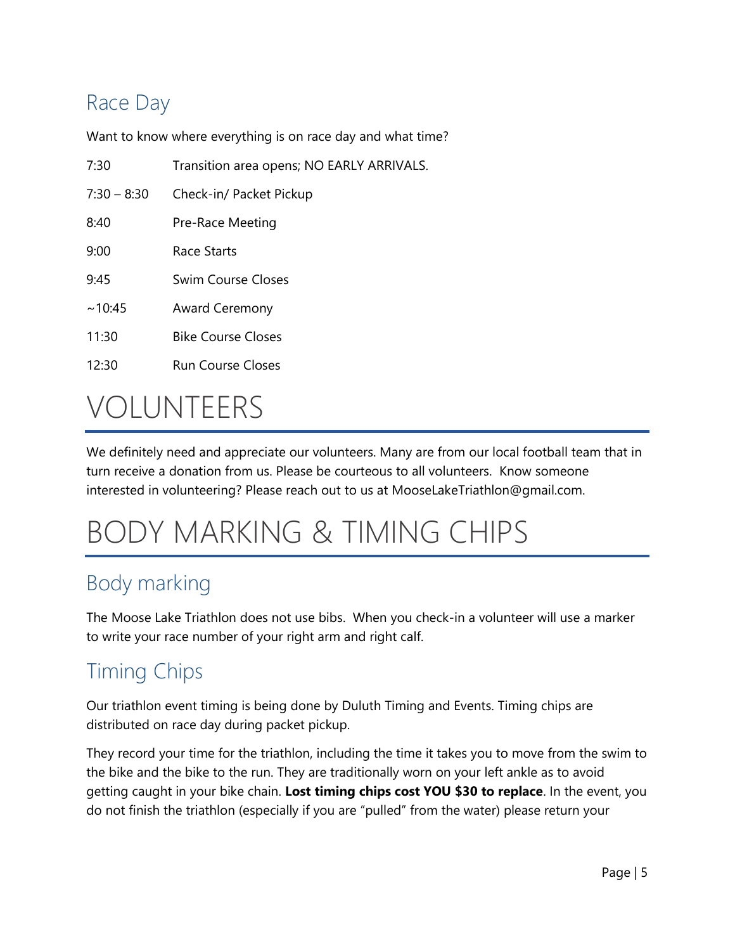### Race Day

Want to know where everything is on race day and what time?

| 7:30          | Transition area opens; NO EARLY ARRIVALS. |  |
|---------------|-------------------------------------------|--|
| $7:30 - 8:30$ | Check-in/ Packet Pickup                   |  |
| 8:40          | Pre-Race Meeting                          |  |
| 9:00          | Race Starts                               |  |
| 9:45          | Swim Course Closes                        |  |
| ~10:45        | <b>Award Ceremony</b>                     |  |
| 11:30         | <b>Bike Course Closes</b>                 |  |
| 12:30         | <b>Run Course Closes</b>                  |  |
| $\sqrt{2}$    |                                           |  |

## VOLUNTEERS

We definitely need and appreciate our volunteers. Many are from our local football team that in turn receive a donation from us. Please be courteous to all volunteers. Know someone interested in volunteering? Please reach out to us at MooseLakeTriathlon@gmail.com.

# BODY MARKING & TIMING CHIPS

### Body marking

The Moose Lake Triathlon does not use bibs. When you check-in a volunteer will use a marker to write your race number of your right arm and right calf.

### Timing Chips

Our triathlon event timing is being done by Duluth Timing and Events. Timing chips are distributed on race day during packet pickup.

They record your time for the triathlon, including the time it takes you to move from the swim to the bike and the bike to the run. They are traditionally worn on your left ankle as to avoid getting caught in your bike chain. Lost timing chips cost YOU \$30 to replace. In the event, you do not finish the triathlon (especially if you are "pulled" from the water) please return your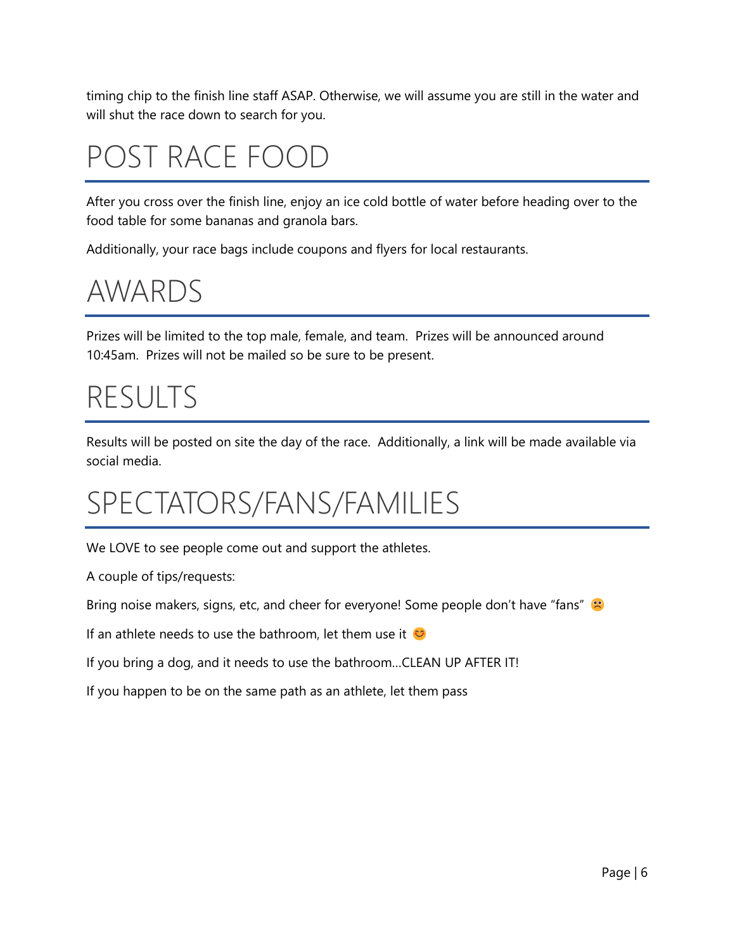timing chip to the finish line staff ASAP. Otherwise, we will assume you are still in the water and will shut the race down to search for you.

# POST RACE FOOD

After you cross over the finish line, enjoy an ice cold bottle of water before heading over to the food table for some bananas and granola bars.

Additionally, your race bags include coupons and flyers for local restaurants.

### AWARDS

Prizes will be limited to the top male, female, and team. Prizes will be announced around 10:45am. Prizes will not be mailed so be sure to be present.

## RESULTS

Results will be posted on site the day of the race. Additionally, a link will be made available via social media.

## SPECTATORS/FANS/FAMILIES

We LOVE to see people come out and support the athletes.

A couple of tips/requests:

Bring noise makers, signs, etc, and cheer for everyone! Some people don't have "fans"

If an athlete needs to use the bathroom, let them use it  $\heartsuit$ 

If you bring a dog, and it needs to use the bathroom…CLEAN UP AFTER IT!

If you happen to be on the same path as an athlete, let them pass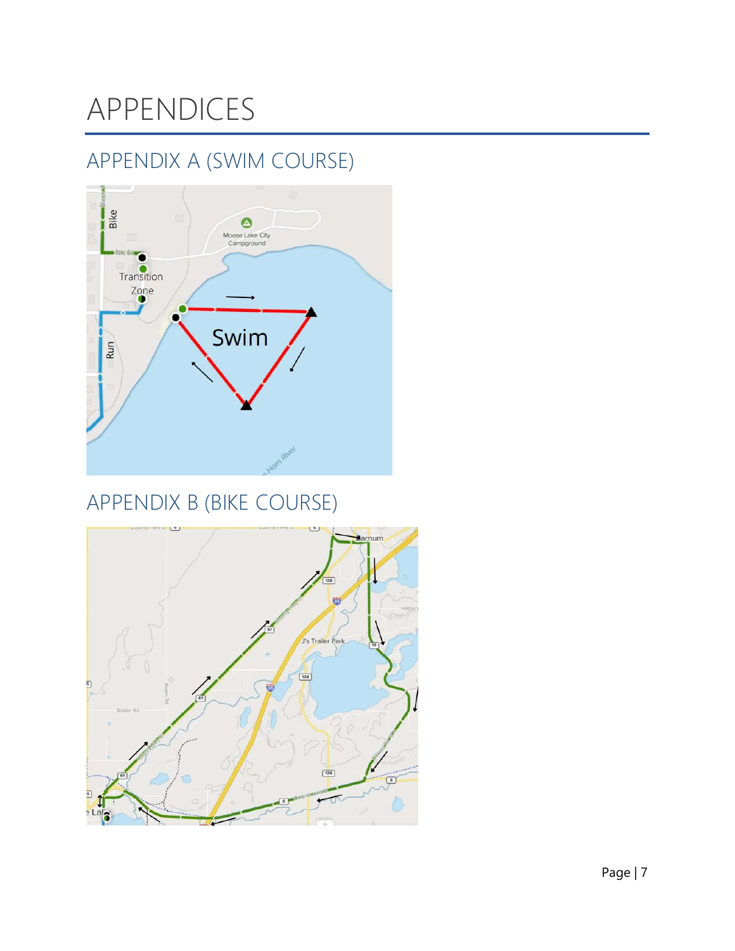# APPENDICES

### APPENDIX A (SWIM COURSE)



### APPENDIX B (BIKE COURSE)